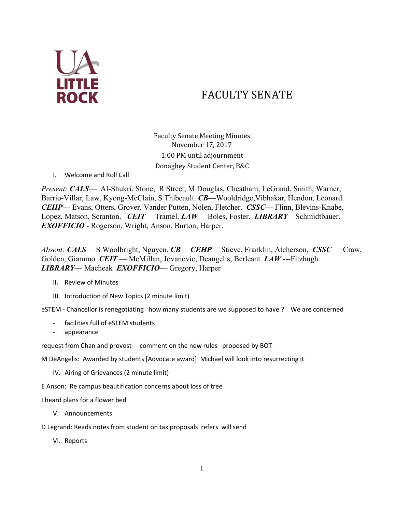

## FACULTY SENATE

Faculty Senate Meeting Minutes November 17, 2017 1:00 PM until adjournment Donaghey Student Center, B&C

I. Welcome and Roll Call

*Present: CALS*— Al-Shukri, Stone, R Street, M Douglas, Cheatham, LeGrand, Smith, Warner, Barrio-Villar, Law, Kyong-McClain, S Thibeault. *CB*—Wooldridge,Vibhakar, Hendon, Leonard. *CEHP*— Evans, Otters, Grover, Vander Putten, Nolen, Fletcher. *CSSC*— Flinn, Blevins-Knabe, Lopez, Matson, Scranton. *CEIT*— Tramel. *LAW*— Boles, Foster. *LIBRARY*—Schmidtbauer. *EXOFFICIO* - Rogerson, Wright, Anson, Burton, Harper.

*Absent: CALS*— S Woolbright, Nguyen. *CB*— *CEHP*— Stieve, Franklin, Atcherson, *CSSC*— Craw, Golden, Giammo *CEIT* — McMillan, Jovanovic, Deangelis, Berleant. *LAW* ---Fitzhugh. *LIBRARY*— Macheak *EXOFFICIO*— Gregory, Harper

- II. Review of Minutes
- III. Introduction of New Topics (2 minute limit)

eSTEM - Chancellor is renegotiating how many students are we supposed to have ? We are concerned

- facilities full of eSTEM students
- appearance

request from Chan and provost comment on the new rules proposed by BOT

M DeAngelis: Awarded by students [Advocate award] Michael will look into resurrecting it

- IV. Airing of Grievances (2 minute limit)
- E Anson: Re campus beautification concerns about loss of tree

I heard plans for a flower bed

V. Announcements

D Legrand: Reads notes from student on tax proposals refers will send

VI. Reports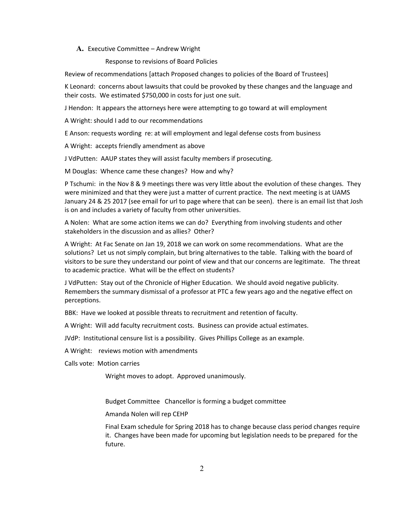## **A.** Executive Committee – Andrew Wright

Response to revisions of Board Policies

Review of recommendations [attach Proposed changes to policies of the Board of Trustees]

K Leonard: concerns about lawsuits that could be provoked by these changes and the language and their costs. We estimated \$750,000 in costs for just one suit.

J Hendon: It appears the attorneys here were attempting to go toward at will employment

A Wright: should I add to our recommendations

E Anson: requests wording re: at will employment and legal defense costs from business

A Wright: accepts friendly amendment as above

J VdPutten: AAUP states they will assist faculty members if prosecuting.

M Douglas: Whence came these changes? How and why?

P Tschumi: in the Nov 8 & 9 meetings there was very little about the evolution of these changes. They were minimized and that they were just a matter of current practice. The next meeting is at UAMS January 24 & 25 2017 (see email for url to page where that can be seen). there is an email list that Josh is on and includes a variety of faculty from other universities.

A Nolen: What are some action items we can do? Everything from involving students and other stakeholders in the discussion and as allies? Other?

A Wright: At Fac Senate on Jan 19, 2018 we can work on some recommendations. What are the solutions? Let us not simply complain, but bring alternatives to the table. Talking with the board of visitors to be sure they understand our point of view and that our concerns are legitimate. The threat to academic practice. What will be the effect on students?

J VdPutten: Stay out of the Chronicle of Higher Education. We should avoid negative publicity. Remembers the summary dismissal of a professor at PTC a few years ago and the negative effect on perceptions.

BBK: Have we looked at possible threats to recruitment and retention of faculty.

A Wright: Will add faculty recruitment costs. Business can provide actual estimates.

JVdP: Institutional censure list is a possibility. Gives Phillips College as an example.

A Wright: reviews motion with amendments

Calls vote: Motion carries

Wright moves to adopt. Approved unanimously.

Budget Committee Chancellor is forming a budget committee

Amanda Nolen will rep CEHP

Final Exam schedule for Spring 2018 has to change because class period changes require it. Changes have been made for upcoming but legislation needs to be prepared for the future.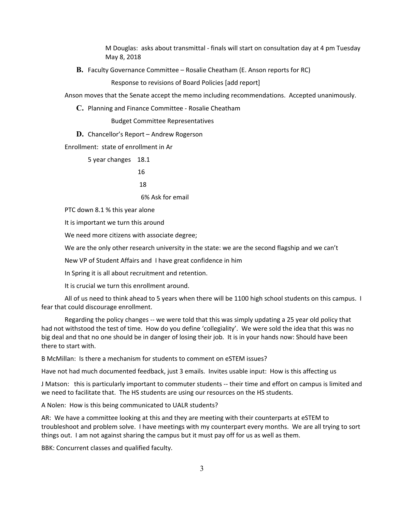M Douglas: asks about transmittal - finals will start on consultation day at 4 pm Tuesday May 8, 2018

**B.** Faculty Governance Committee – Rosalie Cheatham (E. Anson reports for RC)

Response to revisions of Board Policies [add report]

Anson moves that the Senate accept the memo including recommendations. Accepted unanimously.

**C.** Planning and Finance Committee - Rosalie Cheatham

Budget Committee Representatives

**D.** Chancellor's Report – Andrew Rogerson

Enrollment: state of enrollment in Ar

5 year changes 18.1

16

18

6% Ask for email

PTC down 8.1 % this year alone

It is important we turn this around

We need more citizens with associate degree;

We are the only other research university in the state: we are the second flagship and we can't

New VP of Student Affairs and I have great confidence in him

In Spring it is all about recruitment and retention.

It is crucial we turn this enrollment around.

All of us need to think ahead to 5 years when there will be 1100 high school students on this campus. I fear that could discourage enrollment.

Regarding the policy changes -- we were told that this was simply updating a 25 year old policy that had not withstood the test of time. How do you define 'collegiality'. We were sold the idea that this was no big deal and that no one should be in danger of losing their job. It is in your hands now: Should have been there to start with.

B McMillan: Is there a mechanism for students to comment on eSTEM issues?

Have not had much documented feedback, just 3 emails. Invites usable input: How is this affecting us

J Matson: this is particularly important to commuter students -- their time and effort on campus is limited and we need to facilitate that. The HS students are using our resources on the HS students.

A Nolen: How is this being communicated to UALR students?

AR: We have a committee looking at this and they are meeting with their counterparts at eSTEM to troubleshoot and problem solve. I have meetings with my counterpart every months. We are all trying to sort things out. I am not against sharing the campus but it must pay off for us as well as them.

BBK: Concurrent classes and qualified faculty.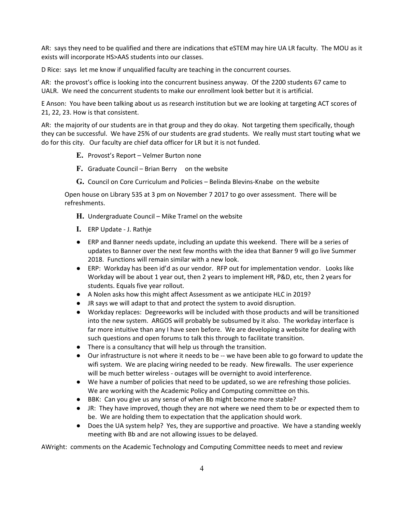AR: says they need to be qualified and there are indications that eSTEM may hire UA LR faculty. The MOU as it exists will incorporate HS>AAS students into our classes.

D Rice: says let me know if unqualified faculty are teaching in the concurrent courses.

AR: the provost's office is looking into the concurrent business anyway. Of the 2200 students 67 came to UALR. We need the concurrent students to make our enrollment look better but it is artificial.

E Anson: You have been talking about us as research institution but we are looking at targeting ACT scores of 21, 22, 23. How is that consistent.

AR: the majority of our students are in that group and they do okay. Not targeting them specifically, though they can be successful. We have 25% of our students are grad students. We really must start touting what we do for this city. Our faculty are chief data officer for LR but it is not funded.

- **E.** Provost's Report Velmer Burton none
- **F.** Graduate Council Brian Berry on the website
- **G.** Council on Core Curriculum and Policies Belinda Blevins-Knabe on the website

Open house on Library 535 at 3 pm on November 7 2017 to go over assessment. There will be refreshments.

**H.** Undergraduate Council – Mike Tramel on the website

- **I.** ERP Update J. Rathje
- ERP and Banner needs update, including an update this weekend. There will be a series of updates to Banner over the next few months with the idea that Banner 9 will go live Summer 2018. Functions will remain similar with a new look.
- ERP: Workday has been id'd as our vendor. RFP out for implementation vendor. Looks like Workday will be about 1 year out, then 2 years to implement HR, P&D, etc, then 2 years for students. Equals five year rollout.
- A Nolen asks how this might affect Assessment as we anticipate HLC in 2019?
- JR says we will adapt to that and protect the system to avoid disruption.
- Workday replaces: Degreeworks will be included with those products and will be transitioned into the new system. ARGOS will probably be subsumed by it also. The workday interface is far more intuitive than any I have seen before. We are developing a website for dealing with such questions and open forums to talk this through to facilitate transition.
- There is a consultancy that will help us through the transition.
- Our infrastructure is not where it needs to be -- we have been able to go forward to update the wifi system. We are placing wiring needed to be ready. New firewalls. The user experience will be much better wireless - outages will be overnight to avoid interference.
- We have a number of policies that need to be updated, so we are refreshing those policies. We are working with the Academic Policy and Computing committee on this.
- BBK: Can you give us any sense of when Bb might become more stable?
- JR: They have improved, though they are not where we need them to be or expected them to be. We are holding them to expectation that the application should work.
- Does the UA system help? Yes, they are supportive and proactive. We have a standing weekly meeting with Bb and are not allowing issues to be delayed.

AWright: comments on the Academic Technology and Computing Committee needs to meet and review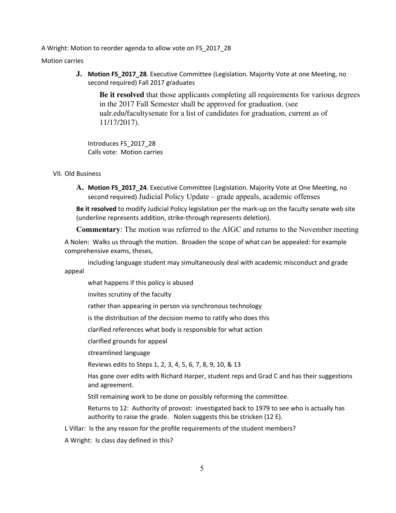A Wright: Motion to reorder agenda to allow vote on FS\_2017\_28

Motion carries

**J. Motion FS\_2017\_28**. Executive Committee (Legislation. Majority Vote at one Meeting, no second required) Fall 2017 graduates

**Be it resolved** that those applicants completing all requirements for various degrees in the 2017 Fall Semester shall be approved for graduation. (see ualr.edu/facultysenate for a list of candidates for graduation, current as of 11/17/2017).

Introduces FS\_2017\_28 Calls vote: Motion carries

## VII. Old Business

**A. Motion FS\_2017\_24**. Executive Committee (Legislation. Majority Vote at One Meeting, no second required) Judicial Policy Update – grade appeals, academic offenses

**Be it resolved** to modify Judicial Policy legislation per the mark-up on the faculty senate web site (underline represents addition, strike-through represents deletion).

**Commentary**: The motion was referred to the AIGC and returns to the November meeting

A Nolen: Walks us through the motion. Broaden the scope of what can be appealed: for example comprehensive exams, theses,

including language student may simultaneously deal with academic misconduct and grade appeal

what happens if this policy is abused

invites scrutiny of the faculty

rather than appearing in person via synchronous technology

is the distribution of the decision memo to ratify who does this

clarified references what body is responsible for what action

clarified grounds for appeal

streamlined language

Reviews edits to Steps 1, 2, 3, 4, 5, 6, 7, 8, 9, 10, & 13

Has gone over edits with Richard Harper, student reps and Grad C and has their suggestions and agreement.

Still remaining work to be done on possibly reforming the committee.

Returns to 12: Authority of provost: investigated back to 1979 to see who is actually has authority to raise the grade. Nolen suggests this be stricken (12 E).

L Villar: Is the any reason for the profile requirements of the student members?

A Wright: Is class day defined in this?